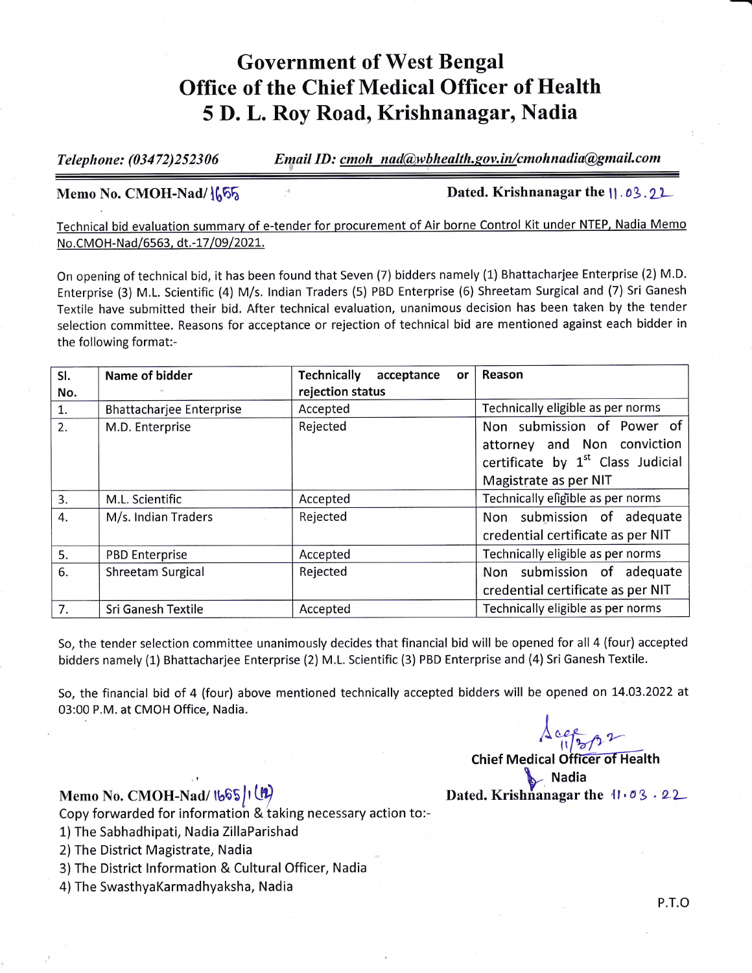## Government of West Bengal Office of the Chief Medical Officer of Health 5 D. L. Roy Road, Krishnanagar, Nadia

Telephone: (03472)252306 Email ID: cmoh nad@wbhealth.gov.in/cmohnadia@gmail.com

Memo No. CMOH-Nad/1655 **1986** and 1997 **Dated. Krishnanagar the 11 .03.22** 

Technical bid evaluation summary of e-tender for procurement of Air borne Control Kit under NTEP, Nadia Memo<br>No.CMOH-Nad/6563, dt.-17/09/2021.

On opening of technical bid, it has been found that Seven (7) bidders namely (1) Bhattacharjee Enterprise (2) M.D. Enterprise (3) M.L. Scientific (4) M/s. Indian Traders (5) PBD Enterprise (6) Shreetam Surgical and (7) Sri Ganesh Textile have submitted their bid. After technical evaluation, unanimous decision has been taken by the tender selection committee. Reasons for acceptance or rejection of technical bid are mentioned against each bidder in the following format:-

| SI.              | <b>Name of bidder</b>           | <b>Technically</b><br>acceptance<br>or | Reason                                        |
|------------------|---------------------------------|----------------------------------------|-----------------------------------------------|
| No.              |                                 | rejection status                       |                                               |
| 1.               | <b>Bhattacharjee Enterprise</b> | Accepted                               | Technically eligible as per norms             |
| 2.               | M.D. Enterprise                 | Rejected                               | Non submission of Power of                    |
|                  |                                 |                                        | attorney and Non conviction                   |
|                  |                                 |                                        | certificate by 1 <sup>st</sup> Class Judicial |
|                  |                                 |                                        | Magistrate as per NIT                         |
| $\overline{3}$ . | M.L. Scientific                 | Accepted                               | Technically eligible as per norms             |
| 4.               | M/s. Indian Traders             | Rejected                               | Non submission of adequate                    |
|                  |                                 |                                        | credential certificate as per NIT             |
| 5.               | <b>PBD Enterprise</b>           | Accepted                               | Technically eligible as per norms             |
| 6.               | <b>Shreetam Surgical</b>        | Rejected                               | Non submission of adequate                    |
|                  |                                 |                                        | credential certificate as per NIT             |
| 7.               | Sri Ganesh Textile              | Accepted                               | Technically eligible as per norms             |

So, the tender selection committee unanimously decides that financial bid will be opened for all 4 (four) accepted bidders namely (1) Bhattacharjee Enterprise (2) M.L. Scientific (3) PBD Enterprise and (4) Sri Ganesh Textile.

So, the financial bid of 4 (four) above mentioned technically accepted bidders will be opened on L4.O3.2022 at 03:00 P.M. at CMOH Office, Nadia.

 $\Delta$ certon

Chief Medical Officer of Health<br>Nadia Memo No. CMOH-Nad/  $\lfloor \sqrt{2} \rfloor$   $\lfloor \sqrt{2} \rfloor$  Dated. Krishnanagar the  $41.03.22$ 

Copy forwarded for information & taking necessary action to:-

- 1) The Sabhadhipati, Nadia ZillaParishad
- 2)The District Magistrate, Nadia
- 3)The District lnformation & Cultural Officer, Nadia
- 4) The SwasthyaKarmadhyaksha, Nadia